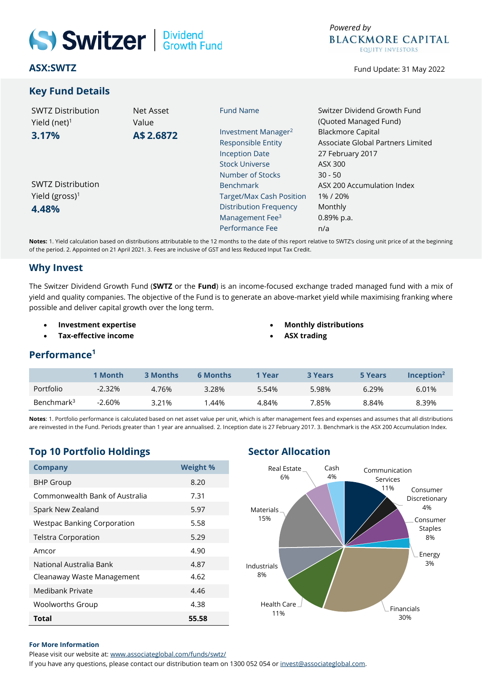# Switzer | Dividend

**ASX:SWTZ**

# **Key Fund Details**



Fund Update: 31 May 2022

| <b>SWTZ Distribution</b>   | Net Asset | <b>Fund Name</b>                | Switzer Dividend Growth Fund      |  |  |
|----------------------------|-----------|---------------------------------|-----------------------------------|--|--|
| Yield (net) $1$            | Value     |                                 | (Quoted Managed Fund)             |  |  |
| 3.17%                      | A\$2.6872 | Investment Manager <sup>2</sup> | <b>Blackmore Capital</b>          |  |  |
|                            |           | <b>Responsible Entity</b>       | Associate Global Partners Limited |  |  |
|                            |           | <b>Inception Date</b>           | 27 February 2017                  |  |  |
|                            |           | <b>Stock Universe</b>           | ASX 300                           |  |  |
|                            |           | Number of Stocks                | $30 - 50$                         |  |  |
| <b>SWTZ Distribution</b>   |           | <b>Benchmark</b>                | ASX 200 Accumulation Index        |  |  |
| Yield (gross) <sup>1</sup> |           | <b>Target/Max Cash Position</b> | 1%/20%                            |  |  |
| 4.48%                      |           | <b>Distribution Frequency</b>   | Monthly                           |  |  |
|                            |           | Management Fee <sup>3</sup>     | 0.89% p.a.                        |  |  |
|                            |           | Performance Fee                 | n/a                               |  |  |
|                            |           |                                 |                                   |  |  |

**Notes:** 1. Yield calculation based on distributions attributable to the 12 months to the date of this report relative to SWTZ's closing unit price of at the beginning of the period. 2. Appointed on 21 April 2021. 3. Fees are inclusive of GST and less Reduced Input Tax Credit.

# **Why Invest**

The Switzer Dividend Growth Fund (**SWTZ** or the **Fund**) is an income-focused exchange traded managed fund with a mix of yield and quality companies. The objective of the Fund is to generate an above-market yield while maximising franking where possible and deliver capital growth over the long term.

- **Investment expertise**
- **Tax-effective income**
- **Monthly distributions**
	- **ASX trading**

# **Performance<sup>1</sup>**

|                        | 1 Month   | 3 Months | <b>6 Months</b> | 1 Year | <b>3 Years</b> | 5 Years | $Inc$ eption <sup>2</sup> |
|------------------------|-----------|----------|-----------------|--------|----------------|---------|---------------------------|
| Portfolio              | $-2.32\%$ | 4.76%    | 3.28%           | 5.54%  | 5.98%          | 6.29%   | 6.01%                     |
| Benchmark <sup>3</sup> | $-2.60%$  | 3.21%    | .44%            | 4.84%  | '.85%          | 8.84%   | 8.39%                     |

**Notes**: 1. Portfolio performance is calculated based on net asset value per unit, which is after management fees and expenses and assumes that all distributions are reinvested in the Fund. Periods greater than 1 year are annualised. 2. Inception date is 27 February 2017. 3. Benchmark is the ASX 200 Accumulation Index.

# **Top 10 Portfolio Holdings Sector Allocation**

| <b>Company</b>                     | <b>Weight %</b> |
|------------------------------------|-----------------|
| <b>BHP Group</b>                   | 8.20            |
| Commonwealth Bank of Australia     | 7.31            |
| Spark New Zealand                  | 5.97            |
| <b>Westpac Banking Corporation</b> | 5.58            |
| <b>Telstra Corporation</b>         | 5.29            |
| Amcor                              | 4.90            |
| National Australia Bank            | 4.87            |
| Cleanaway Waste Management         | 4.62            |
| Medibank Private                   | 4.46            |
| <b>Woolworths Group</b>            | 4.38            |
| <b>Total</b>                       | 55.58           |



### **For More Information**

Please visit our website at[: www.associateglobal.com/funds/swtz/](file://///192.168.5.184/archive/dc01-contango/Switzer%20Asset%20Management/Switzer%20Dividend%20Growth%20Fund%20(Quoted%20Managed%20Fund)/Reporting/Monthly%20NTA%20and%20Portfolio%20Report/2022/4.%20April%20(repot%20date%2030042022)/www.associateglobal.com/funds/swtz/)

If you have any questions, please contact our distribution team on 1300 052 054 or [invest@associateglobal.com.](mailto:invest@associateglobal.com)